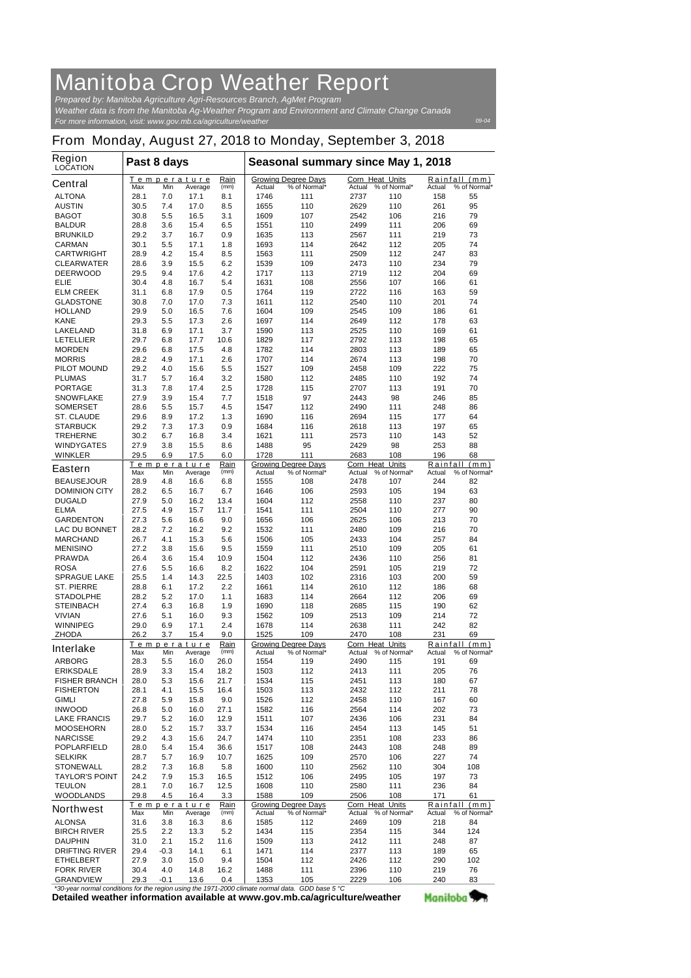## **Manitoba Crop Weather Report**

*For more information, visit: www.gov.mb.ca/agriculture/weather Prepared by: Manitoba Agriculture Agri-Resources Branch, AgMet Program Weather data is from the Manitoba Ag-Weather Program and Environment and Climate Change Canada*

*09-04*

Manitoba<sup>y</sup>

## **From Monday, August 27, 2018 to Monday, September 3, 2018**

| <b>Region</b><br>LOCATION                | Past 8 days  |             |                        |              | Seasonal summary since May 1, 2018 |                                            |                                  |                     |            |                               |
|------------------------------------------|--------------|-------------|------------------------|--------------|------------------------------------|--------------------------------------------|----------------------------------|---------------------|------------|-------------------------------|
| <b>Central</b>                           | Max          | Min         | Temperature<br>Average | Rain<br>(mm) | Actual                             | <b>Growing Degree Days</b><br>% of Normal* | <b>Corn Heat Units</b><br>Actual | % of Normal*        | Actual     | Rainfall (mm)<br>% of Normal* |
| <b>ALTONA</b>                            | 28.1         | 7.0         | 17.1                   | 8.1          | 1746                               | 111                                        | 2737                             | 110                 | 158        | 55                            |
| <b>AUSTIN</b>                            | 30.5         | 7.4         | 17.0                   | 8.5          | 1655                               | 110                                        | 2629                             | 110                 | 261        | 95                            |
| <b>BAGOT</b>                             | 30.8         | 5.5         | 16.5                   | 3.1          | 1609                               | 107                                        | 2542                             | 106                 | 216        | 79                            |
| <b>BALDUR</b>                            | 28.8         | 3.6         | 15.4                   | 6.5          | 1551                               | 110                                        | 2499                             | 111                 | 206        | 69                            |
| <b>BRUNKILD</b>                          | 29.2         | 3.7         | 16.7                   | 0.9          | 1635                               | 113                                        | 2567                             | 111                 | 219        | 73                            |
| <b>CARMAN</b>                            | 30.1         | 5.5         | 17.1                   | 1.8          | 1693                               | 114                                        | 2642                             | 112                 | 205        | 74                            |
| <b>CARTWRIGHT</b>                        | 28.9         | 4.2         | 15.4                   | 8.5          | 1563                               | 111                                        | 2509                             | 112                 | 247        | 83                            |
| <b>CLEARWATER</b>                        | 28.6         | 3.9         | 15.5                   | 6.2          | 1539                               | 109                                        | 2473                             | 110                 | 234        | 79                            |
| <b>DEERWOOD</b>                          | 29.5         | 9.4         | 17.6                   | 4.2          | 1717                               | 113                                        | 2719                             | 112                 | 204        | 69                            |
| ELIE                                     | 30.4         | 4.8         | 16.7                   | 5.4          | 1631                               | 108                                        | 2556                             | 107                 | 166        | 61                            |
| <b>ELM CREEK</b>                         | 31.1         | 6.8         | 17.9                   | 0.5          | 1764                               | 119                                        | 2722                             | 116                 | 163        | 59                            |
| <b>GLADSTONE</b>                         | 30.8         | 7.0         | 17.0                   | 7.3          | 1611                               | 112                                        | 2540                             | 110                 | 201        | 74                            |
| <b>HOLLAND</b>                           | 29.9         | 5.0         | 16.5                   | 7.6          | 1604                               | 109                                        | 2545                             | 109                 | 186        | 61                            |
| <b>KANE</b>                              | 29.3         | 5.5         | 17.3                   | 2.6          | 1697                               | 114                                        | 2649                             | 112                 | 178        | 63                            |
| <b>LAKELAND</b>                          | 31.8         | 6.9         | 17.1                   | 3.7          | 1590                               | 113                                        | 2525                             | 110                 | 169        | 61                            |
| <b>LETELLIER</b>                         | 29.7         | 6.8         | 17.7                   | 10.6         | 1829                               | 117                                        | 2792                             | 113                 | 198        | 65                            |
| <b>MORDEN</b>                            | 29.6         | 6.8         | 17.5                   | 4.8          | 1782                               | 114                                        | 2803                             | 113                 | 189        | 65                            |
| <b>MORRIS</b>                            | 28.2<br>29.2 | 4.9         | 17.1<br>15.6           | 2.6          | 1707                               | 114                                        | 2674                             | 113<br>109          | 198<br>222 | 70<br>75                      |
| <b>PILOT MOUND</b><br><b>PLUMAS</b>      | 31.7         | 4.0<br>5.7  | 16.4                   | 5.5<br>3.2   | 1527<br>1580                       | 109<br>112                                 | 2458<br>2485                     | 110                 | 192        | 74                            |
|                                          | 31.3         | 7.8         | 17.4                   | 2.5          | 1728                               | 115                                        | 2707                             |                     | 191        | 70                            |
| <b>PORTAGE</b><br><b>SNOWFLAKE</b>       | 27.9         | 3.9         | 15.4                   | 7.7          | 1518                               | 97                                         | 2443                             | 113<br>98           | 246        | 85                            |
| <b>SOMERSET</b>                          | 28.6         | 5.5         | 15.7                   | 4.5          | 1547                               | 112                                        | 2490                             | 111                 | 248        | 86                            |
| <b>ST. CLAUDE</b>                        | 29.6         | 8.9         | 17.2                   | 1.3          | 1690                               | 116                                        | 2694                             | 115                 | 177        | 64                            |
| <b>STARBUCK</b>                          | 29.2         | 7.3         | 17.3                   | 0.9          | 1684                               | 116                                        | 2618                             | 113                 | 197        | 65                            |
| <b>TREHERNE</b>                          | 30.2         | 6.7         | 16.8                   | 3.4          | 1621                               | 111                                        | 2573                             | 110                 | 143        | 52                            |
| <b>WINDYGATES</b>                        | 27.9         | 3.8         | 15.5                   | 8.6          | 1488                               | 95                                         | 2429                             | 98                  | 253        | 88                            |
| <b>WINKLER</b>                           | 29.5         | 6.9         | 17.5                   | 6.0          | 1728                               | 111                                        | 2683                             | 108                 | 196        | 68                            |
|                                          |              |             | Temperature            | Rain         |                                    | <b>Growing Degree Days</b>                 | Corn Heat                        | Units               | Rainfall   | (mm)                          |
| <b>Eastern</b>                           | Max          | Min         | Average                | (mm)         | Actual                             | % of Normal*                               | Actual                           | % of Normal*        | Actual     | % of Normal*                  |
| <b>BEAUSEJOUR</b>                        | 28.9         | 4.8         | 16.6                   | 6.8          | 1555                               | 108                                        | 2478                             | 107                 | 244        | 82                            |
| <b>DOMINION CITY</b>                     | 28.2         | 6.5         | 16.7                   | 6.7          | 1646                               | 106                                        | 2593                             | 105                 | 194        | 63                            |
| <b>DUGALD</b>                            | 27.9         | 5.0         | 16.2                   | 13.4         | 1604                               | 112                                        | 2558                             | 110                 | 237        | 80                            |
| <b>ELMA</b>                              | 27.5         | 4.9         | 15.7                   | 11.7         | 1541                               | 111                                        | 2504                             | 110                 | 277        | 90                            |
| <b>GARDENTON</b>                         | 27.3         | 5.6         | 16.6                   | 9.0          | 1656                               | 106                                        | 2625                             | 106                 | 213        | 70                            |
| <b>LAC DU BONNET</b>                     | 28.2         | 7.2         | 16.2                   | 9.2          | 1532                               | 111                                        | 2480                             | 109                 | 216        | 70                            |
| <b>MARCHAND</b>                          | 26.7         | 4.1         | 15.3                   | 5.6          | 1506                               | 105                                        | 2433                             | 104                 | 257        | 84                            |
| <b>MENISINO</b>                          | 27.2         | 3.8         | 15.6                   | 9.5          | 1559                               | 111                                        | 2510                             | 109                 | 205        | 61                            |
| <b>PRAWDA</b>                            | 26.4         | 3.6         | 15.4                   | 10.9         | 1504                               | 112                                        | 2436                             | 110                 | 256        | 81                            |
| <b>ROSA</b>                              | 27.6         | 5.5         | 16.6                   | 8.2          | 1622                               | 104                                        | 2591                             | 105                 | 219        | 72<br>59                      |
| <b>SPRAGUE LAKE</b><br><b>ST. PIERRE</b> | 25.5<br>28.8 | 1.4         | 14.3<br>17.2           | 22.5<br>2.2  | 1403<br>1661                       | 102<br>114                                 | 2316<br>2610                     | 103<br>112          | 200<br>186 | 68                            |
| <b>STADOLPHE</b>                         | 28.2         | 6.1<br>5.2  | 17.0                   | 1.1          | 1683                               | 114                                        | 2664                             | 112                 | 206        | 69                            |
| <b>STEINBACH</b>                         | 27.4         | 6.3         | 16.8                   | 1.9          | 1690                               | 118                                        | 2685                             | 115                 | 190        | 62                            |
| <b>VIVIAN</b>                            | 27.6         | 5.1         | 16.0                   | 9.3          | 1562                               | 109                                        | 2513                             | 109                 | 214        | 72                            |
| <b>WINNIPEG</b>                          | 29.0         | 6.9         | 17.1                   | 2.4          | 1678                               | 114                                        | 2638                             | 111                 | 242        | 82                            |
| <b>ZHODA</b>                             | 26.2         | 3.7         | 15.4                   | 9.0          | 1525                               | 109                                        | 2470                             | 108                 | 231        | 69                            |
|                                          |              |             | Temperature            | Rain         |                                    | <b>Growing Degree Days</b>                 | Corn Heat Units                  |                     |            | Rainfall (mm)                 |
| <b>Interlake</b>                         | Max          | Min         | Average                | (mm)         | Actual                             | % of Normal*                               | Actual                           | % of Normal*        | Actual     | % of Normal*                  |
| <b>ARBORG</b>                            | 28.3         | 5.5         | 16.0                   | 26.0         | 1554                               | 119                                        | 2490                             | 115                 | 191        | 69                            |
| <b>ERIKSDALE</b>                         | 28.9         | 3.3         | 15.4                   | 18.2         | 1503                               | 112                                        | 2413                             | 111                 | 205        | 76                            |
| <b>FISHER BRANCH</b>                     | 28.0         | 5.3         | 15.6                   | 21.7         | 1534                               | 115                                        | 2451                             | 113                 | 180        | 67                            |
| <b>FISHERTON</b>                         | 28.1         | 4.1         | 15.5                   | 16.4         | 1503                               | 113                                        | 2432                             | 112                 | 211        | 78                            |
| <b>GIMLI</b>                             | 27.8         | 5.9         | 15.8                   | 9.0          | 1526                               | 112                                        | 2458                             | 110                 | 167        | 60                            |
| <b>INWOOD</b>                            | 26.8         | 5.0         | 16.0                   | 27.1         | 1582                               | 116                                        | 2564                             | 114                 | 202        | 73                            |
| <b>LAKE FRANCIS</b>                      | 29.7         | 5.2         | 16.0                   | 12.9         | 1511<br>1534                       | 107                                        | 2436<br>2454                     | 106                 | 231<br>145 | 84                            |
| <b>MOOSEHORN</b><br><b>NARCISSE</b>      | 28.0<br>29.2 | 5.2<br>4.3  | 15.7<br>15.6           | 33.7<br>24.7 | 1474                               | 116<br>110                                 | 2351                             | 113<br>108          | 233        | 51<br>86                      |
| <b>POPLARFIELD</b>                       | 28.0         | 5.4         | 15.4                   | 36.6         | 1517                               | 108                                        | 2443                             | 108                 | 248        | 89                            |
| <b>SELKIRK</b>                           | 28.7         | 5.7         | 16.9                   | 10.7         | 1625                               | 109                                        | 2570                             | 106                 | 227        | 74                            |
| <b>STONEWALL</b>                         | 28.2         | 7.3         | 16.8                   | 5.8          | 1600                               | 110                                        | 2562                             | 110                 | 304        | 108                           |
| <b>TAYLOR'S POINT</b>                    | 24.2         | 7.9         | 15.3                   | 16.5         | 1512                               | 106                                        | 2495                             | 105                 | 197        | 73                            |
| <b>TEULON</b>                            | 28.1         | 7.0         | 16.7                   | 12.5         | 1608                               | 110                                        | 2580                             | 111                 | 236        | 84                            |
| <b>WOODLANDS</b>                         | 29.8         | 4.5         | 16.4                   | 3.3          | 1588                               | 109                                        | 2506                             | 108                 | 171        | 61                            |
|                                          |              |             | Temperature            | Rain         |                                    | <b>Growing Degree Days</b>                 | Corn Heat Units                  |                     | Rainfall   | (mm)                          |
| <b>Northwest</b>                         | Max          | Min         | Average                | (mm)         | Actual                             | % of Normal*                               |                                  | Actual % of Normal* | Actual     | % of Normal*                  |
| <b>ALONSA</b>                            | 31.6         | 3.8         | 16.3                   | 8.6          | 1585                               | 112                                        | 2469                             | 109                 | 218        | 84                            |
| <b>BIRCH RIVER</b>                       | 25.5         | 2.2         | 13.3                   | 5.2          | 1434                               | 115                                        | 2354                             | 115                 | 344        | 124                           |
| <b>DAUPHIN</b>                           | 31.0         | 2.1         | 15.2                   | 11.6         | 1509                               | 113                                        | 2412                             | 111                 | 248        | 87                            |
| <b>DRIFTING RIVER</b>                    | 29.4         | $-0.3$      | 14.1                   | 6.1          | 1471                               | 114                                        | 2377                             | 113                 | 189        | 65                            |
| <b>ETHELBERT</b>                         | 27.9         | 3.0         | 15.0                   | 9.4          | 1504                               | 112                                        | 2426                             | 112                 | 290        | 102                           |
| <b>FORK RIVER</b>                        | 30.4<br>29.3 | 4.0<br>-0.1 | 14.8<br>13.6           | 16.2<br>0.4  | 1488<br>1353                       | 111<br>105                                 | 2396<br>2229                     | 110<br>106          | 219<br>240 | 76<br>83                      |
| <b>GRANDVIEW</b>                         |              |             |                        | 1071.200     |                                    | CDD <sub>h</sub>                           | $E_{0}$                          |                     |            |                               |

**Detailed weather information available at www.gov.mb.ca/agriculture/weather** *\*30-year normal conditions for the region using the 1971-2000 climate normal data. GDD base 5 °C*